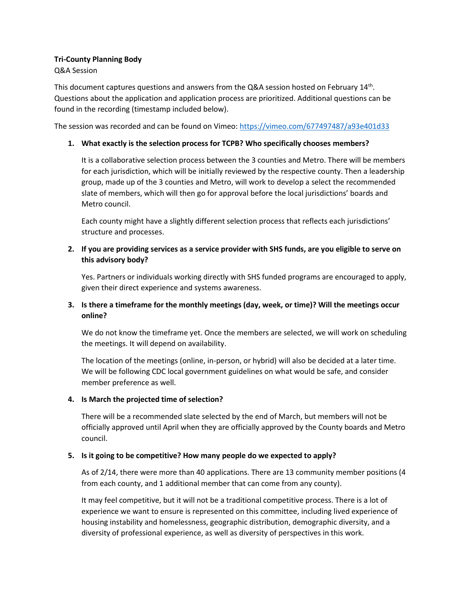# **Tri-County Planning Body**

### Q&A Session

This document captures questions and answers from the Q&A session hosted on February 14<sup>th</sup>. Questions about the application and application process are prioritized. Additional questions can be found in the recording (timestamp included below).

The session was recorded and can be found on Vimeo[: https://vimeo.com/677497487/a93e401d33](https://vimeo.com/677497487/a93e401d33)

## **1. What exactly is the selection process for TCPB? Who specifically chooses members?**

It is a collaborative selection process between the 3 counties and Metro. There will be members for each jurisdiction, which will be initially reviewed by the respective county. Then a leadership group, made up of the 3 counties and Metro, will work to develop a select the recommended slate of members, which will then go for approval before the local jurisdictions' boards and Metro council.

Each county might have a slightly different selection process that reflects each jurisdictions' structure and processes.

# **2. If you are providing services as a service provider with SHS funds, are you eligible to serve on this advisory body?**

Yes. Partners or individuals working directly with SHS funded programs are encouraged to apply, given their direct experience and systems awareness.

# **3. Is there a timeframe for the monthly meetings (day, week, or time)? Will the meetings occur online?**

We do not know the timeframe yet. Once the members are selected, we will work on scheduling the meetings. It will depend on availability.

The location of the meetings (online, in-person, or hybrid) will also be decided at a later time. We will be following CDC local government guidelines on what would be safe, and consider member preference as well.

### **4. Is March the projected time of selection?**

There will be a recommended slate selected by the end of March, but members will not be officially approved until April when they are officially approved by the County boards and Metro council.

## **5. Is it going to be competitive? How many people do we expected to apply?**

As of 2/14, there were more than 40 applications. There are 13 community member positions (4 from each county, and 1 additional member that can come from any county).

It may feel competitive, but it will not be a traditional competitive process. There is a lot of experience we want to ensure is represented on this committee, including lived experience of housing instability and homelessness, geographic distribution, demographic diversity, and a diversity of professional experience, as well as diversity of perspectives in this work.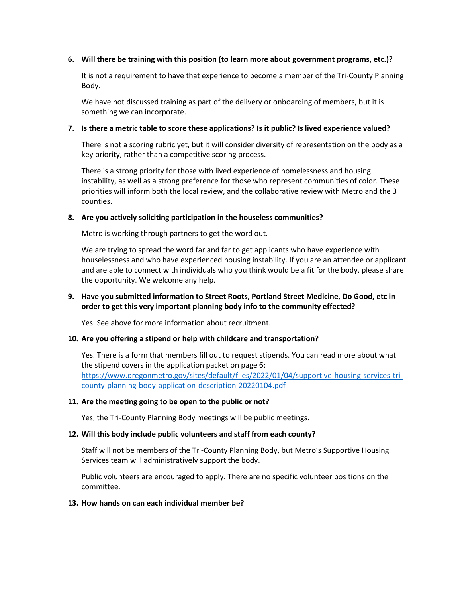#### **6. Will there be training with this position (to learn more about government programs, etc.)?**

It is not a requirement to have that experience to become a member of the Tri-County Planning Body.

We have not discussed training as part of the delivery or onboarding of members, but it is something we can incorporate.

#### **7. Is there a metric table to score these applications? Is it public? Is lived experience valued?**

There is not a scoring rubric yet, but it will consider diversity of representation on the body as a key priority, rather than a competitive scoring process.

There is a strong priority for those with lived experience of homelessness and housing instability, as well as a strong preference for those who represent communities of color. These priorities will inform both the local review, and the collaborative review with Metro and the 3 counties.

#### **8. Are you actively soliciting participation in the houseless communities?**

Metro is working through partners to get the word out.

We are trying to spread the word far and far to get applicants who have experience with houselessness and who have experienced housing instability. If you are an attendee or applicant and are able to connect with individuals who you think would be a fit for the body, please share the opportunity. We welcome any help.

### **9. Have you submitted information to Street Roots, Portland Street Medicine, Do Good, etc in order to get this very important planning body info to the community effected?**

Yes. See above for more information about recruitment.

### **10. Are you offering a stipend or help with childcare and transportation?**

Yes. There is a form that members fill out to request stipends. You can read more about what the stipend covers in the application packet on page 6: [https://www.oregonmetro.gov/sites/default/files/2022/01/04/supportive-housing-services-tri](https://www.oregonmetro.gov/sites/default/files/2022/01/04/supportive-housing-services-tri-county-planning-body-application-description-20220104.pdf)[county-planning-body-application-description-20220104.pdf](https://www.oregonmetro.gov/sites/default/files/2022/01/04/supportive-housing-services-tri-county-planning-body-application-description-20220104.pdf)

#### **11. Are the meeting going to be open to the public or not?**

Yes, the Tri-County Planning Body meetings will be public meetings.

### **12. Will this body include public volunteers and staff from each county?**

Staff will not be members of the Tri-County Planning Body, but Metro's Supportive Housing Services team will administratively support the body.

Public volunteers are encouraged to apply. There are no specific volunteer positions on the committee.

#### **13. How hands on can each individual member be?**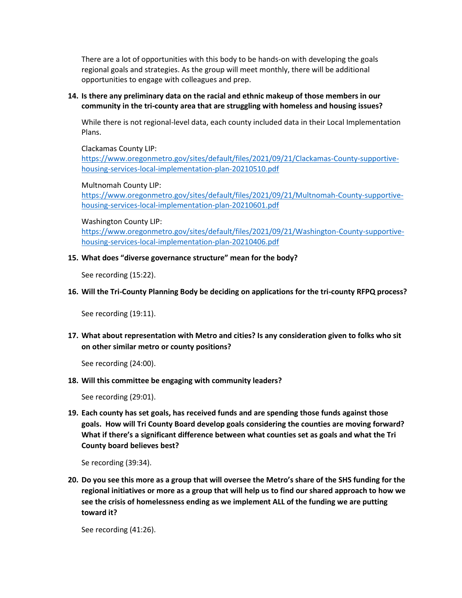There are a lot of opportunities with this body to be hands-on with developing the goals regional goals and strategies. As the group will meet monthly, there will be additional opportunities to engage with colleagues and prep.

### **14. Is there any preliminary data on the racial and ethnic makeup of those members in our community in the tri-county area that are struggling with homeless and housing issues?**

While there is not regional-level data, each county included data in their Local Implementation Plans.

Clackamas County LIP:

[https://www.oregonmetro.gov/sites/default/files/2021/09/21/Clackamas-County-supportive](https://www.oregonmetro.gov/sites/default/files/2021/09/21/Clackamas-County-supportive-housing-services-local-implementation-plan-20210510.pdf)[housing-services-local-implementation-plan-20210510.pdf](https://www.oregonmetro.gov/sites/default/files/2021/09/21/Clackamas-County-supportive-housing-services-local-implementation-plan-20210510.pdf)

### Multnomah County LIP:

[https://www.oregonmetro.gov/sites/default/files/2021/09/21/Multnomah-County-supportive](https://www.oregonmetro.gov/sites/default/files/2021/09/21/Multnomah-County-supportive-housing-services-local-implementation-plan-20210601.pdf)[housing-services-local-implementation-plan-20210601.pdf](https://www.oregonmetro.gov/sites/default/files/2021/09/21/Multnomah-County-supportive-housing-services-local-implementation-plan-20210601.pdf)

Washington County LIP:

[https://www.oregonmetro.gov/sites/default/files/2021/09/21/Washington-County-supportive](https://www.oregonmetro.gov/sites/default/files/2021/09/21/Washington-County-supportive-housing-services-local-implementation-plan-20210406.pdf)[housing-services-local-implementation-plan-20210406.pdf](https://www.oregonmetro.gov/sites/default/files/2021/09/21/Washington-County-supportive-housing-services-local-implementation-plan-20210406.pdf)

### **15. What does "diverse governance structure" mean for the body?**

See recording (15:22).

### **16. Will the Tri-County Planning Body be deciding on applications for the tri-county RFPQ process?**

See recording (19:11).

**17. What about representation with Metro and cities? Is any consideration given to folks who sit on other similar metro or county positions?**

See recording (24:00).

### **18. Will this committee be engaging with community leaders?**

See recording (29:01).

**19. Each county has set goals, has received funds and are spending those funds against those goals. How will Tri County Board develop goals considering the counties are moving forward? What if there's a significant difference between what counties set as goals and what the Tri County board believes best?**

Se recording (39:34).

**20. Do you see this more as a group that will oversee the Metro's share of the SHS funding for the regional initiatives or more as a group that will help us to find our shared approach to how we see the crisis of homelessness ending as we implement ALL of the funding we are putting toward it?**

See recording (41:26).